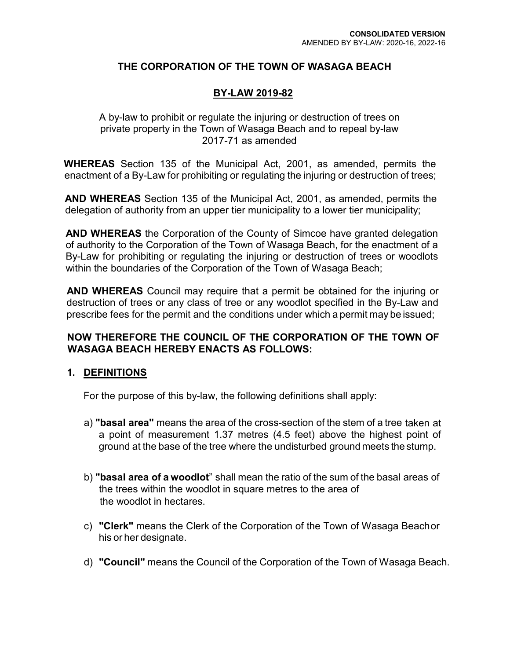## **THE CORPORATION OF THE TOWN OF WASAGA BEACH**

### **BY-LAW 2019-82**

A by-law to prohibit or regulate the injuring or destruction of trees on private property in the Town of Wasaga Beach and to repeal by-law 2017-71 as amended

**WHEREAS** Section 135 of the Municipal Act, 2001, as amended, permits the enactment of a By-Law for prohibiting or regulating the injuring or destruction of trees;

**AND WHEREAS** Section 135 of the Municipal Act, 2001, as amended, permits the delegation of authority from an upper tier municipality to a lower tier municipality;

**AND WHEREAS** the Corporation of the County of Simcoe have granted delegation of authority to the Corporation of the Town of Wasaga Beach, for the enactment of a By-Law for prohibiting or regulating the injuring or destruction of trees or woodlots within the boundaries of the Corporation of the Town of Wasaga Beach;

**AND WHEREAS** Council may require that a permit be obtained for the injuring or destruction of trees or any class of tree or any woodlot specified in the By-Law and prescribe fees for the permit and the conditions under which a permit may be issued;

### **NOW THEREFORE THE COUNCIL OF THE CORPORATION OF THE TOWN OF WASAGA BEACH HEREBY ENACTS AS FOLLOWS:**

#### **1. DEFINITIONS**

For the purpose of this by-law, the following definitions shall apply:

- a) **"basal area"** means the area of the cross-section of the stem of a tree taken at a point of measurement 1.37 metres (4.5 feet) above the highest point of ground at the base of the tree where the undisturbed ground meets the stump.
- b) **"basal area of a woodlot**" shall mean the ratio of the sum of the basal areas of the trees within the woodlot in square metres to the area of the woodlot in hectares.
- c) **"Clerk"** means the Clerk of the Corporation of the Town of Wasaga Beachor his or her designate.
- d) **"Council"** means the Council of the Corporation of the Town of Wasaga Beach.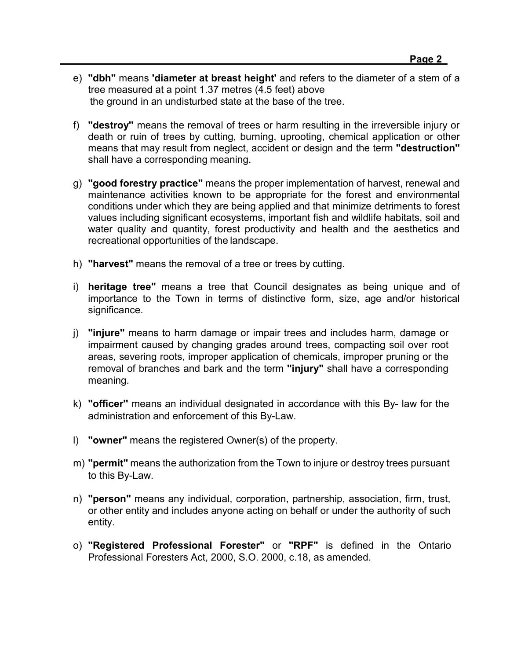- e) **"dbh"** means **'diameter at breast height'** and refers to the diameter of a stem of a tree measured at a point 1.37 metres (4.5 feet) above the ground in an undisturbed state at the base of the tree.
- f) **"destroy''** means the removal of trees or harm resulting in the irreversible injury or death or ruin of trees by cutting, burning, uprooting, chemical application or other means that may result from neglect, accident or design and the term **"destruction"**  shall have a corresponding meaning.
- g) **"good forestry practice"** means the proper implementation of harvest, renewal and maintenance activities known to be appropriate for the forest and environmental conditions under which they are being applied and that minimize detriments to forest values including significant ecosystems, important fish and wildlife habitats, soil and water quality and quantity, forest productivity and health and the aesthetics and recreational opportunities of the landscape.
- h) **"harvest"** means the removal of a tree or trees by cutting.
- i) **heritage tree"** means a tree that Council designates as being unique and of importance to the Town in terms of distinctive form, size, age and/or historical significance.
- j) **"injure"** means to harm damage or impair trees and includes harm, damage or impairment caused by changing grades around trees, compacting soil over root areas, severing roots, improper application of chemicals, improper pruning or the removal of branches and bark and the term **"injury"** shall have a corresponding meaning.
- k) **"officer''** means an individual designated in accordance with this By- law for the administration and enforcement of this By-Law.
- l) **"owner"** means the registered Owner(s) of the property.
- m) **"permit"** means the authorization from the Town to injure or destroy trees pursuant to this By-Law.
- n) **"person"** means any individual, corporation, partnership, association, firm, trust, or other entity and includes anyone acting on behalf or under the authority of such entity.
- o) **"Registered Professional Forester"** or **"RPF"** is defined in the Ontario Professional Foresters Act, 2000, S.O. 2000, c.18, as amended.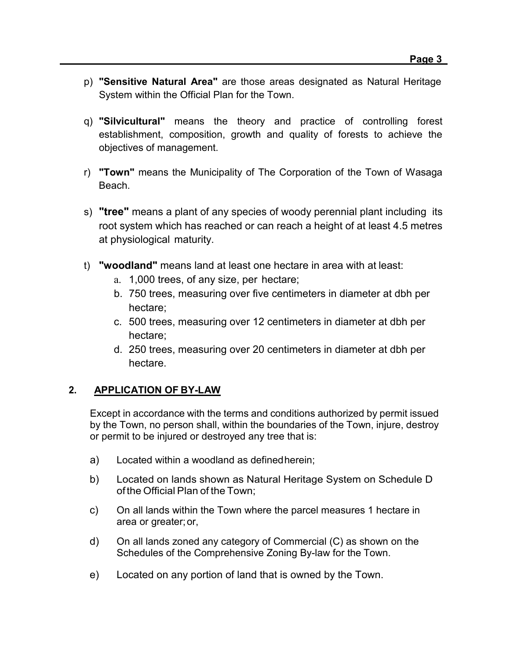- p) **"Sensitive Natural Area"** are those areas designated as Natural Heritage System within the Official Plan for the Town.
- q) **"Silvicultural"** means the theory and practice of controlling forest establishment, composition, growth and quality of forests to achieve the objectives of management.
- r) **"Town"** means the Municipality of The Corporation of the Town of Wasaga Beach.
- s) **"tree"** means a plant of any species of woody perennial plant including its root system which has reached or can reach a height of at least 4.5 metres at physiological maturity.
- t) **"woodland"** means land at least one hectare in area with at least:
	- a. 1,000 trees, of any size, per hectare;
	- b. 750 trees, measuring over five centimeters in diameter at dbh per hectare;
	- c. 500 trees, measuring over 12 centimeters in diameter at dbh per hectare;
	- d. 250 trees, measuring over 20 centimeters in diameter at dbh per hectare.

# **2. APPLICATION OF BY-LAW**

Except in accordance with the terms and conditions authorized by permit issued by the Town, no person shall, within the boundaries of the Town, injure, destroy or permit to be injured or destroyed any tree that is:

- a) Located within a woodland as definedherein;
- b) Located on lands shown as Natural Heritage System on Schedule D ofthe Official Plan of the Town;
- c) On all lands within the Town where the parcel measures 1 hectare in area or greater;or,
- d) On all lands zoned any category of Commercial (C) as shown on the Schedules of the Comprehensive Zoning By-law for the Town.
- e) Located on any portion of land that is owned by the Town.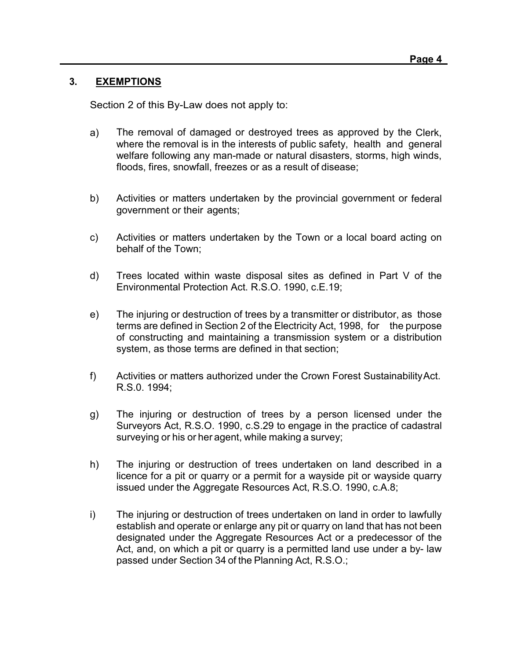## **3. EXEMPTIONS**

Section 2 of this By-Law does not apply to:

- a) The removal of damaged or destroyed trees as approved by the Clerk, where the removal is in the interests of public safety, health and general welfare following any man-made or natural disasters, storms, high winds, floods, fires, snowfall, freezes or as a result of disease;
- b) Activities or matters undertaken by the provincial government or federal government or their agents;
- c) Activities or matters undertaken by the Town or a local board acting on behalf of the Town;
- d) Trees located within waste disposal sites as defined in Part V of the Environmental Protection Act. R.S.O. 1990, c.E.19;
- e) The injuring or destruction of trees by a transmitter or distributor, as those terms are defined in Section 2 of the Electricity Act, 1998, for the purpose of constructing and maintaining a transmission system or a distribution system, as those terms are defined in that section;
- f) Activities or matters authorized under the Crown Forest SustainabilityAct. R.S.0. 1994;
- g) The injuring or destruction of trees by a person licensed under the Surveyors Act, R.S.O. 1990, c.S.29 to engage in the practice of cadastral surveying or his or her agent, while making a survey;
- h) The injuring or destruction of trees undertaken on land described in a licence for a pit or quarry or a permit for a wayside pit or wayside quarry issued under the Aggregate Resources Act, R.S.O. 1990, c.A.8;
- i) The injuring or destruction of trees undertaken on land in order to lawfully establish and operate or enlarge any pit or quarry on land that has not been designated under the Aggregate Resources Act or a predecessor of the Act, and, on which a pit or quarry is a permitted land use under a by- law passed under Section 34 of the Planning Act, R.S.O.;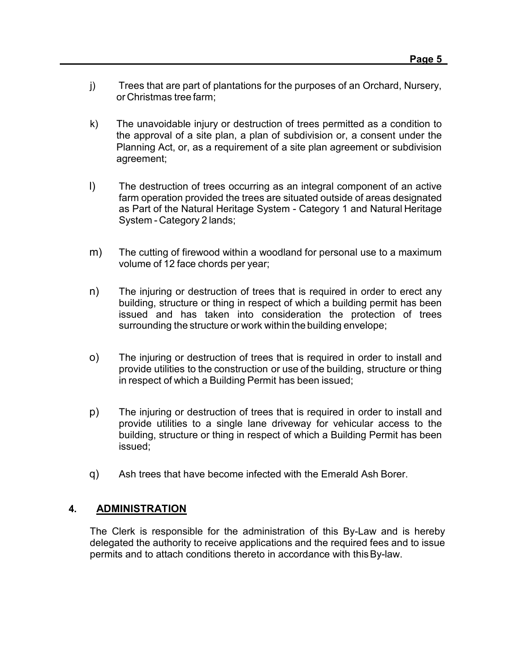- j) Trees that are part of plantations for the purposes of an Orchard, Nursery, or Christmas tree farm;
- k) The unavoidable injury or destruction of trees permitted as a condition to the approval of a site plan, a plan of subdivision or, a consent under the Planning Act, or, as a requirement of a site plan agreement or subdivision agreement;
- l) The destruction of trees occurring as an integral component of an active farm operation provided the trees are situated outside of areas designated as Part of the Natural Heritage System - Category 1 and Natural Heritage System - Category 2 lands;
- m) The cutting of firewood within a woodland for personal use to a maximum volume of 12 face chords per year;
- n) The injuring or destruction of trees that is required in order to erect any building, structure or thing in respect of which a building permit has been issued and has taken into consideration the protection of trees surrounding the structure or work within the building envelope;
- o) The injuring or destruction of trees that is required in order to install and provide utilities to the construction or use of the building, structure or thing in respect of which a Building Permit has been issued;
- p) The injuring or destruction of trees that is required in order to install and provide utilities to a single lane driveway for vehicular access to the building, structure or thing in respect of which a Building Permit has been issued;
- q) Ash trees that have become infected with the Emerald Ash Borer.

#### **4. ADMINISTRATION**

The Clerk is responsible for the administration of this By-Law and is hereby delegated the authority to receive applications and the required fees and to issue permits and to attach conditions thereto in accordance with thisBy-law.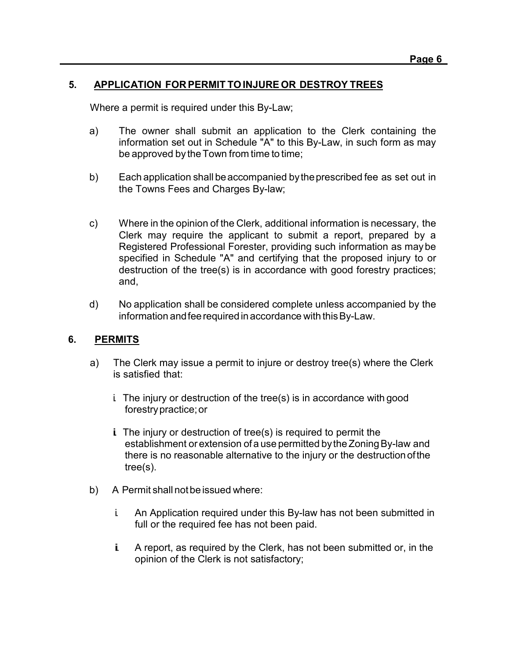### **5. APPLICATION FOR PERMIT TOINJURE OR DESTROY TREES**

Where a permit is required under this By-Law;

- a) The owner shall submit an application to the Clerk containing the information set out in Schedule "A" to this By-Law, in such form as may be approved by the Town from time to time;
- b) Each application shall beaccompanied bytheprescribed fee as set out in the Towns Fees and Charges By-law;
- c) Where in the opinion of the Clerk, additional information is necessary, the Clerk may require the applicant to submit a report, prepared by a Registered Professional Forester, providing such information as maybe specified in Schedule "A" and certifying that the proposed injury to or destruction of the tree(s) is in accordance with good forestry practices; and,
- d) No application shall be considered complete unless accompanied by the information andfeerequired inaccordance with thisBy-Law.

#### **6. PERMITS**

- a) The Clerk may issue a permit to injure or destroy tree(s) where the Clerk is satisfied that:
	- i. The injury or destruction of the tree(s) is in accordance with good forestrypractice;or
	- $i$ . The injury or destruction of tree(s) is required to permit the establishment orextension of a use permitted bythe ZoningBy-law and there is no reasonable alternative to the injury or the destructionofthe tree(s).
- b) A Permit shall not be issued where:
	- i. An Application required under this By-law has not been submitted in full or the required fee has not been paid.
	- i. A report, as required by the Clerk, has not been submitted or, in the opinion of the Clerk is not satisfactory;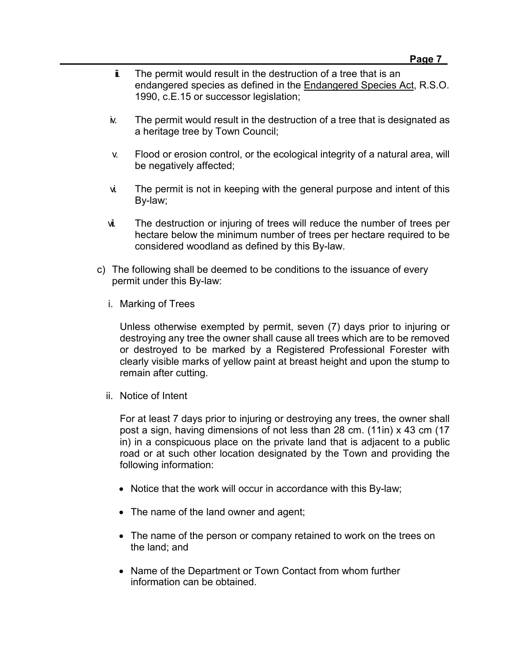- $\ddot{\mathbf{i}}$ . The permit would result in the destruction of a tree that is an endangered species as defined in the Endangered Species Act, R.S.O. 1990, c.E.15 or successor legislation;
- iv. The permit would result in the destruction of a tree that is designated as a heritage tree by Town Council;
- v. Flood or erosion control, or the ecological integrity of a natural area, will be negatively affected;
- vi. The permit is not in keeping with the general purpose and intent of this By-law;
- vii. The destruction or injuring of trees will reduce the number of trees per hectare below the minimum number of trees per hectare required to be considered woodland as defined by this By-law.
- c) The following shall be deemed to be conditions to the issuance of every permit under this By-law:
	- i. Marking of Trees

Unless otherwise exempted by permit, seven (7) days prior to injuring or destroying any tree the owner shall cause all trees which are to be removed or destroyed to be marked by a Registered Professional Forester with clearly visible marks of yellow paint at breast height and upon the stump to remain after cutting.

ii. Notice of Intent

For at least 7 days prior to injuring or destroying any trees, the owner shall post a sign, having dimensions of not less than 28 cm. (11in) x 43 cm (17 in) in a conspicuous place on the private land that is adjacent to a public road or at such other location designated by the Town and providing the following information:

- Notice that the work will occur in accordance with this By-law;
- The name of the land owner and agent;
- The name of the person or company retained to work on the trees on the land; and
- Name of the Department or Town Contact from whom further information can be obtained.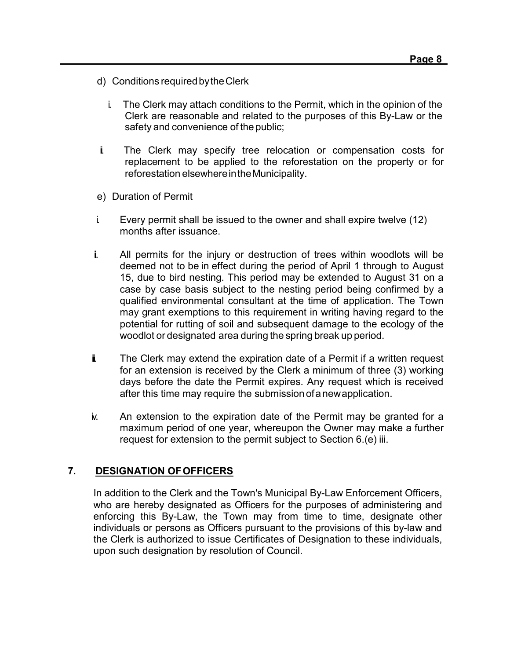- d) Conditions requiredbytheClerk
	- i. The Clerk may attach conditions to the Permit, which in the opinion of the Clerk are reasonable and related to the purposes of this By-Law or the safety and convenience of the public;
- ii. The Clerk may specify tree relocation or compensation costs for replacement to be applied to the reforestation on the property or for reforestation elsewhereintheMunicipality.
- e) Duration of Permit
- i. Every permit shall be issued to the owner and shall expire twelve (12) months after issuance.
- ii. All permits for the injury or destruction of trees within woodlots will be deemed not to be in effect during the period of April 1 through to August 15, due to bird nesting. This period may be extended to August 31 on a case by case basis subject to the nesting period being confirmed by a qualified environmental consultant at the time of application. The Town may grant exemptions to this requirement in writing having regard to the potential for rutting of soil and subsequent damage to the ecology of the woodlot or designated area during the spring break up period.
- i. The Clerk may extend the expiration date of a Permit if a written request for an extension is received by the Clerk a minimum of three (3) working days before the date the Permit expires. Any request which is received after this time may require the submission ofanewapplication.
- iv. An extension to the expiration date of the Permit may be granted for a maximum period of one year, whereupon the Owner may make a further request for extension to the permit subject to Section 6.(e) iii.

#### **7. DESIGNATION OFOFFICERS**

In addition to the Clerk and the Town's Municipal By-Law Enforcement Officers, who are hereby designated as Officers for the purposes of administering and enforcing this By-Law, the Town may from time to time, designate other individuals or persons as Officers pursuant to the provisions of this by-law and the Clerk is authorized to issue Certificates of Designation to these individuals, upon such designation by resolution of Council.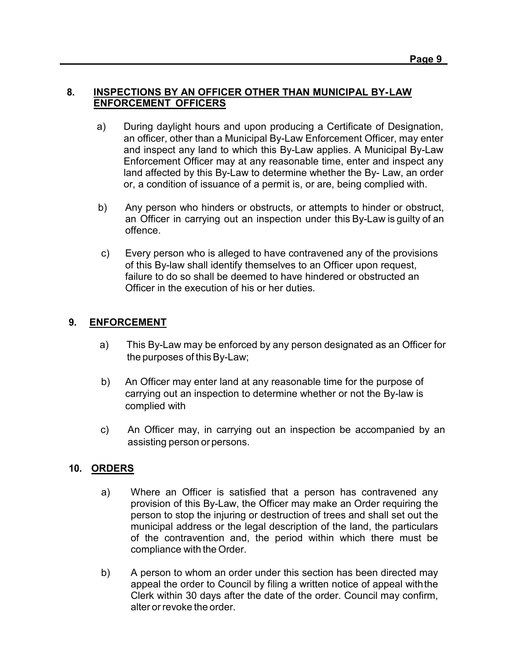#### **8. INSPECTIONS BY AN OFFICER OTHER THAN MUNICIPAL BY-LAW ENFORCEMENT OFFICERS**

- a) During daylight hours and upon producing a Certificate of Designation, an officer, other than a Municipal By-Law Enforcement Officer, may enter and inspect any land to which this By-Law applies. A Municipal By-Law Enforcement Officer may at any reasonable time, enter and inspect any land affected by this By-Law to determine whether the By- Law, an order or, a condition of issuance of a permit is, or are, being complied with.
- b) Any person who hinders or obstructs, or attempts to hinder or obstruct, an Officer in carrying out an inspection under this By-Law is guilty of an offence.
- c) Every person who is alleged to have contravened any of the provisions of this By-law shall identify themselves to an Officer upon request, failure to do so shall be deemed to have hindered or obstructed an Officer in the execution of his or her duties.

# **9. ENFORCEMENT**

- a) This By-Law may be enforced by any person designated as an Officer for the purposes of this By-Law;
- b) An Officer may enter land at any reasonable time for the purpose of carrying out an inspection to determine whether or not the By-law is complied with
- c) An Officer may, in carrying out an inspection be accompanied by an assisting person or persons.

#### **10. ORDERS**

- a) Where an Officer is satisfied that a person has contravened any provision of this By-Law, the Officer may make an Order requiring the person to stop the injuring or destruction of trees and shall set out the municipal address or the legal description of the land, the particulars of the contravention and, the period within which there must be compliance with the Order.
- b) A person to whom an order under this section has been directed may appeal the order to Council by filing a written notice of appeal withthe Clerk within 30 days after the date of the order. Council may confirm, alter or revoke the order.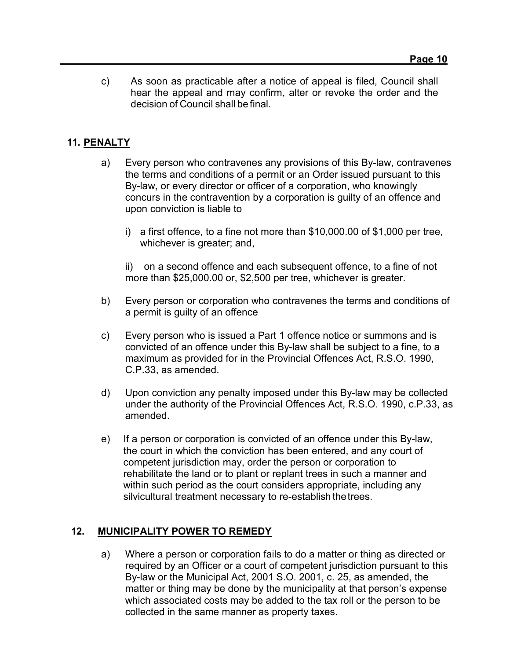c) As soon as practicable after a notice of appeal is filed, Council shall hear the appeal and may confirm, alter or revoke the order and the decision of Council shall be final.

## **11. PENALTY**

- a) Every person who contravenes any provisions of this By-law, contravenes the terms and conditions of a permit or an Order issued pursuant to this By-law, or every director or officer of a corporation, who knowingly concurs in the contravention by a corporation is guilty of an offence and upon conviction is liable to
	- i) a first offence, to a fine not more than \$10,000.00 of \$1,000 per tree, whichever is greater; and,

ii) on a second offence and each subsequent offence, to a fine of not more than \$25,000.00 or, \$2,500 per tree, whichever is greater.

- b) Every person or corporation who contravenes the terms and conditions of a permit is guilty of an offence
- c) Every person who is issued a Part 1 offence notice or summons and is convicted of an offence under this By-law shall be subject to a fine, to a maximum as provided for in the Provincial Offences Act, R.S.O. 1990, C.P.33, as amended.
- d) Upon conviction any penalty imposed under this By-law may be collected under the authority of the Provincial Offences Act, R.S.O. 1990, c.P.33, as amended.
- e) If a person or corporation is convicted of an offence under this By-law, the court in which the conviction has been entered, and any court of competent jurisdiction may, order the person or corporation to rehabilitate the land or to plant or replant trees in such a manner and within such period as the court considers appropriate, including any silvicultural treatment necessary to re-establish thetrees.

#### **12. MUNICIPALITY POWER TO REMEDY**

a) Where a person or corporation fails to do a matter or thing as directed or required by an Officer or a court of competent jurisdiction pursuant to this By-law or the Municipal Act, 2001 S.O. 2001, c. 25, as amended, the matter or thing may be done by the municipality at that person's expense which associated costs may be added to the tax roll or the person to be collected in the same manner as property taxes.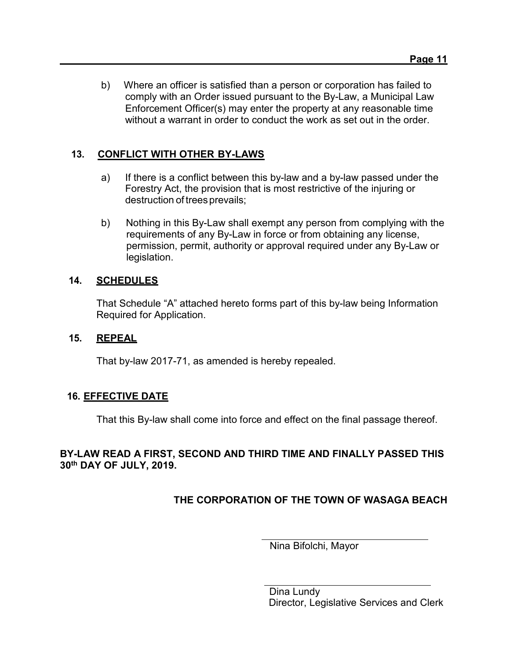b) Where an officer is satisfied than a person or corporation has failed to comply with an Order issued pursuant to the By-Law, a Municipal Law Enforcement Officer(s) may enter the property at any reasonable time without a warrant in order to conduct the work as set out in the order.

# **13. CONFLICT WITH OTHER BY-LAWS**

- a) If there is a conflict between this by-law and a by-law passed under the Forestry Act, the provision that is most restrictive of the injuring or destruction of trees prevails;
- b) Nothing in this By-Law shall exempt any person from complying with the requirements of any By-Law in force or from obtaining any license, permission, permit, authority or approval required under any By-Law or legislation.

#### **14. SCHEDULES**

That Schedule "A" attached hereto forms part of this by-law being Information Required for Application.

#### **15. REPEAL**

That by-law 2017-71, as amended is hereby repealed.

#### **16. EFFECTIVE DATE**

That this By-law shall come into force and effect on the final passage thereof.

#### **BY-LAW READ A FIRST, SECOND AND THIRD TIME AND FINALLY PASSED THIS 30th DAY OF JULY, 2019.**

# **THE CORPORATION OF THE TOWN OF WASAGA BEACH**

Nina Bifolchi, Mayor

Dina Lundy Director, Legislative Services and Clerk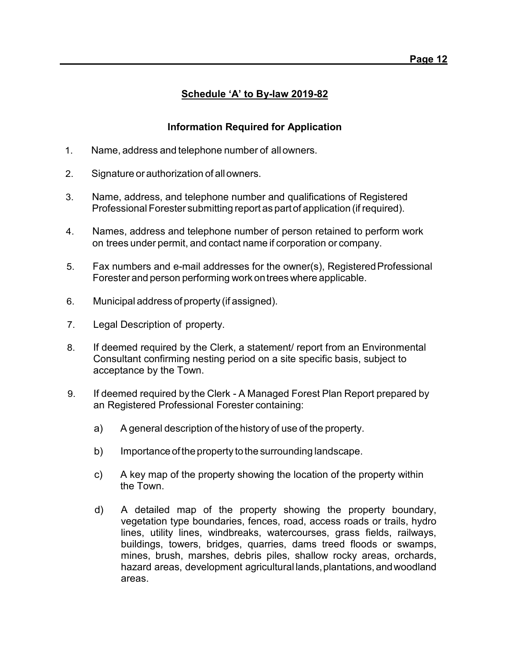## **Schedule 'A' to By-law 2019-82**

### **Information Required for Application**

- 1. Name, address and telephone number of allowners.
- 2. Signature orauthorization of allowners.
- 3. Name, address, and telephone number and qualifications of Registered Professional Forester submitting report as partof application (if required).
- 4. Names, address and telephone number of person retained to perform work on trees under permit, and contact name if corporation or company.
- 5. Fax numbers and e-mail addresses for the owner(s), RegisteredProfessional Forester and person performing work ontreeswhere applicable.
- 6. Municipal address of property (if assigned).
- 7. Legal Description of property.
- 8. If deemed required by the Clerk, a statement/ report from an Environmental Consultant confirming nesting period on a site specific basis, subject to acceptance by the Town.
- 9. If deemed required by the Clerk A Managed Forest Plan Report prepared by an Registered Professional Forester containing:
	- a) A general description of the history of use of the property.
	- b) Importance of the property to the surrounding landscape.
	- c) A key map of the property showing the location of the property within the Town.
	- d) A detailed map of the property showing the property boundary, vegetation type boundaries, fences, road, access roads or trails, hydro lines, utility lines, windbreaks, watercourses, grass fields, railways, buildings, towers, bridges, quarries, dams treed floods or swamps, mines, brush, marshes, debris piles, shallow rocky areas, orchards, hazard areas, development agricultural lands,plantations,andwoodland areas.